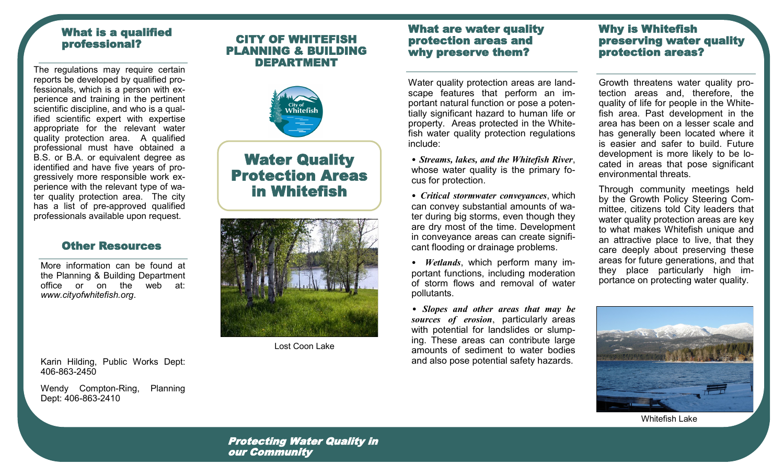# What is a qualified professional?

The regulations may require certain reports be developed by qualified professionals, which is a person with experience and training in the pertinent scientific discipline, and who is a qualified scientific expert with expertise appropriate for the relevant water quality protection area. A qualified professional must have obtained a B.S. or B.A. or equivalent degree as identified and have five years of progressively more responsible work experience with the relevant type of water quality protection area. The city has a list of pre-approved qualified professionals available upon request.

## Other Resources

More information can be found at the Planning & Building Department office or on the web at: *www.cityofwhitefish.org*.

Karin Hilding, Public Works Dept: 406-863-2450

Wendy Compton-Ring, Planning Dept: 406-863-2410

# CITY OF WHITEFISH PLANNING & BUILDING DEPARTMENT



# Water Quality Protection Areas in Whitefish



Lost Coon Lake

## What are water quality protection areas and why preserve them?

Water quality protection areas are landscape features that perform an important natural function or pose a potentially significant hazard to human life or property. Areas protected in the Whitefish water quality protection regulations include:

• *Streams, lakes, and the Whitefish River*, whose water quality is the primary focus for protection.

• *Critical stormwater conveyances*, which can convey substantial amounts of water during big storms, even though they are dry most of the time. Development in conveyance areas can create significant flooding or drainage problems.

• *Wetlands*, which perform many important functions, including moderation of storm flows and removal of water pollutants.

• *Slopes and other areas that may be sources of erosion*, particularly areas with potential for landslides or slumping. These areas can contribute large amounts of sediment to water bodies and also pose potential safety hazards.

# Why is Whitefish preserving water quality protection areas?

Growth threatens water quality protection areas and, therefore, the quality of life for people in the Whitefish area. Past development in the area has been on a lesser scale and has generally been located where it is easier and safer to build. Future development is more likely to be located in areas that pose significant environmental threats.

Through community meetings held by the Growth Policy Steering Committee, citizens told City leaders that water quality protection areas are key to what makes Whitefish unique and an attractive place to live, that they care deeply about preserving these areas for future generations, and that they place particularly high importance on protecting water quality.



Whitefish Lake

Protecting Water Quality in our Community